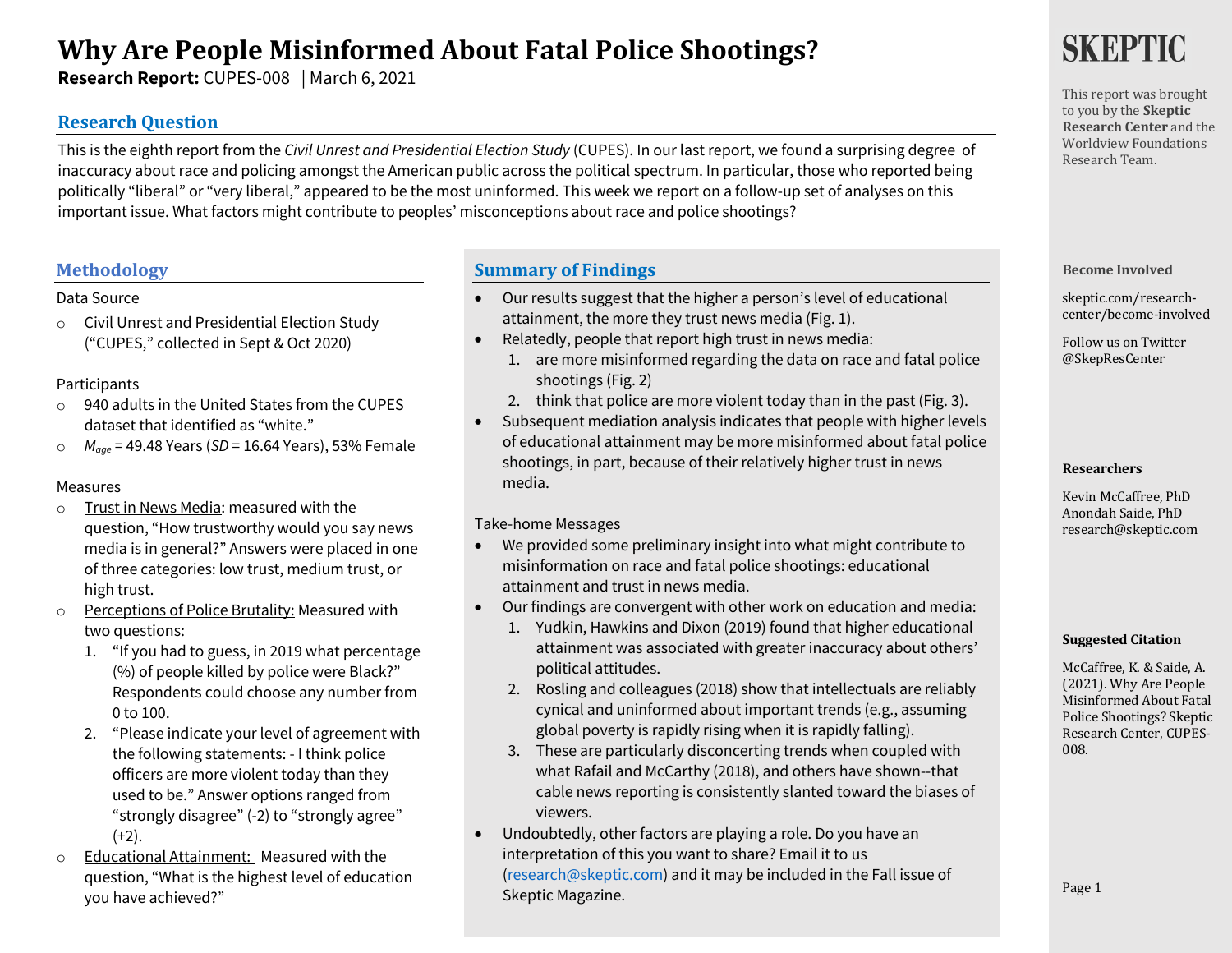# **Why Are People Misinformed About Fatal Police Shootings?**

**Research Report:** CUPES-008 | March 6, 2021

# **Research Question**

This is the eighth report from the *Civil Unrest and Presidential Election Study* (CUPES). In our last report, we found a surprising degree of inaccuracy about race and policing amongst the American public across the political spectrum. In particular, those who reported being politically "liberal" or "very liberal," appeared to be the most uninformed. This week we report on a follow-up set of analyses on this important issue. What factors might contribute to peoples' misconceptions about race and police shootings? 

# **Methodology**

### Data Source

o Civil Unrest and Presidential Election Study ("CUPES," collected in Sept & Oct 2020)

### Participants

- o 940 adults in the United States from the CUPES dataset that identified as "white."
- o *Mage* = 49.48 Years (*SD* = 16.64 Years), 53% Female

### Measures

- o Trust in News Media: measured with the question, "How trustworthy would you say news media is in general?" Answers were placed in one of three categories: low trust, medium trust, or high trust.
- o Perceptions of Police Brutality: Measured with two questions:
	- 1. "If you had to guess, in 2019 what percentage (%) of people killed by police were Black?" Respondents could choose any number from 0 to 100.
	- 2. "Please indicate your level of agreement with the following statements: - I think police officers are more violent today than they used to be." Answer options ranged from "strongly disagree" (-2) to "strongly agree"  $(+2)$ .
- o Educational Attainment: Measured with the question, "What is the highest level of education you have achieved?"

# **Summary of Findings**

- Our results suggest that the higher a person's level of educational attainment, the more they trust news media (Fig. 1).
- Relatedly, people that report high trust in news media:
	- 1. are more misinformed regarding the data on race and fatal police shootings (Fig. 2)
	- 2. think that police are more violent today than in the past (Fig. 3).
- Subsequent mediation analysis indicates that people with higher levels of educational attainment may be more misinformed about fatal police shootings, in part, because of their relatively higher trust in news media.

### Take-home Messages

- We provided some preliminary insight into what might contribute to misinformation on race and fatal police shootings: educational attainment and trust in news media.
- Our findings are convergent with other work on education and media:
	- 1. Yudkin, Hawkins and Dixon (2019) found that higher educational attainment was associated with greater inaccuracy about others' political attitudes.
	- 2. Rosling and colleagues (2018) show that intellectuals are reliably cynical and uninformed about important trends (e.g., assuming global poverty is rapidly rising when it is rapidly falling).
	- 3. These are particularly disconcerting trends when coupled with what Rafail and McCarthy (2018), and others have shown--that cable news reporting is consistently slanted toward the biases of viewers.
- Undoubtedly, other factors are playing a role. Do you have an interpretation of this you want to share? Email it to us (research@skeptic.com) and it may be included in the Fall issue of Skeptic Magazine.

# SKEPTIC

This report was brought to you by the **Skeptic Research Center** and the Worldview Foundations Research Team.

### **Become Involved**

skeptic.com/researchcenter/become-involved

Follow us on Twitter @SkepResCenter

### **Researchers**

Kevin McCaffree, PhD Anondah Saide, PhD research@skeptic.com

#### **Suggested Citation**

McCaffree, K. & Saide, A. (2021). Why Are People Misinformed About Fatal Police Shootings? Skeptic Research Center, CUPES-008.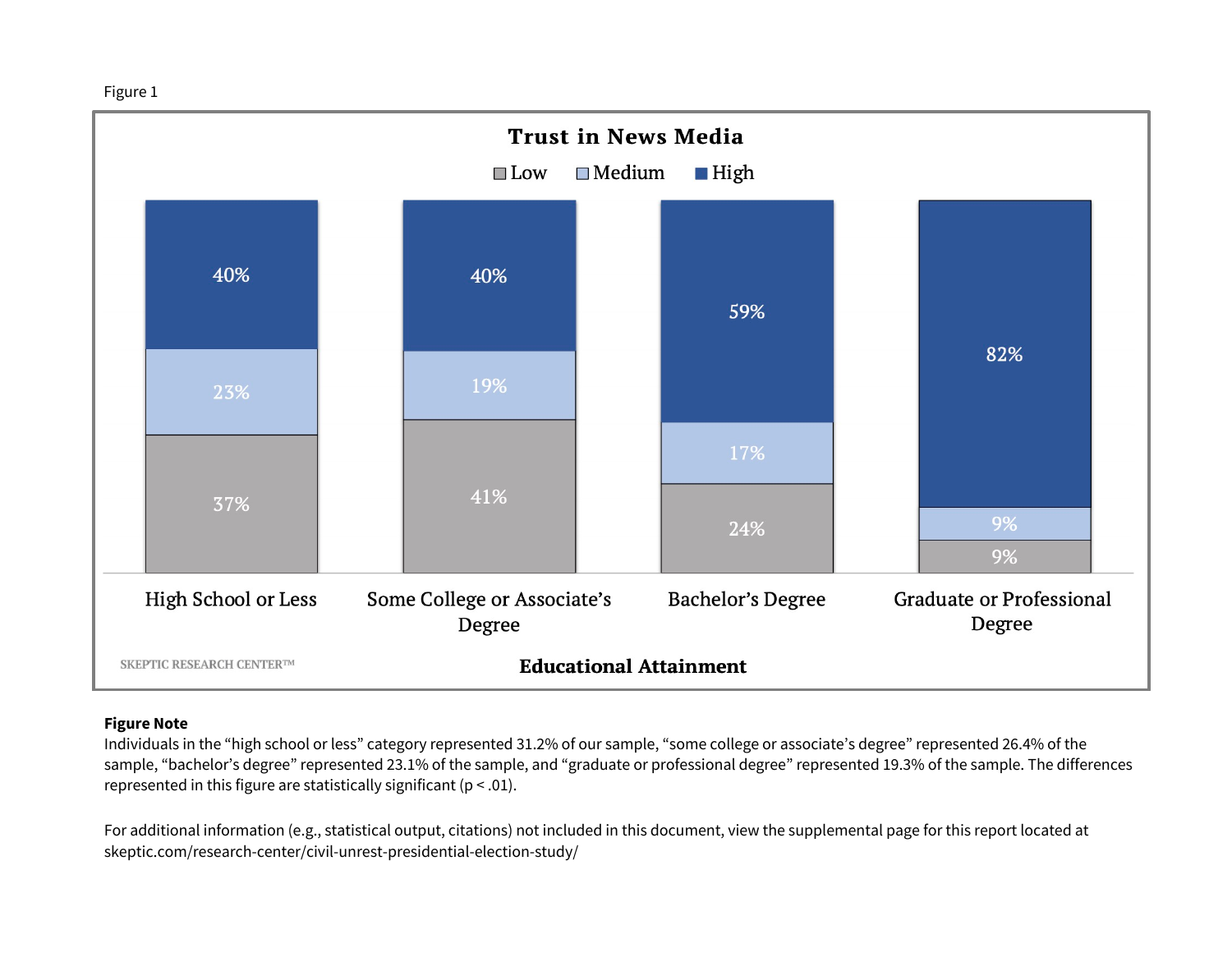



### **Figure Note**

Individuals in the "high school or less" category represented 31.2% of our sample, "some college or associate's degree" represented 26.4% of the sample, "bachelor's degree" represented 23.1% of the sample, and "graduate or professional degree" represented 19.3% of the sample. The differences represented in this figure are statistically significant ( $p < .01$ ).

For additional information (e.g., statistical output, citations) not included in this document, view the supplemental page for this report located at skeptic.com/research-center/civil-unrest-presidential-election-study/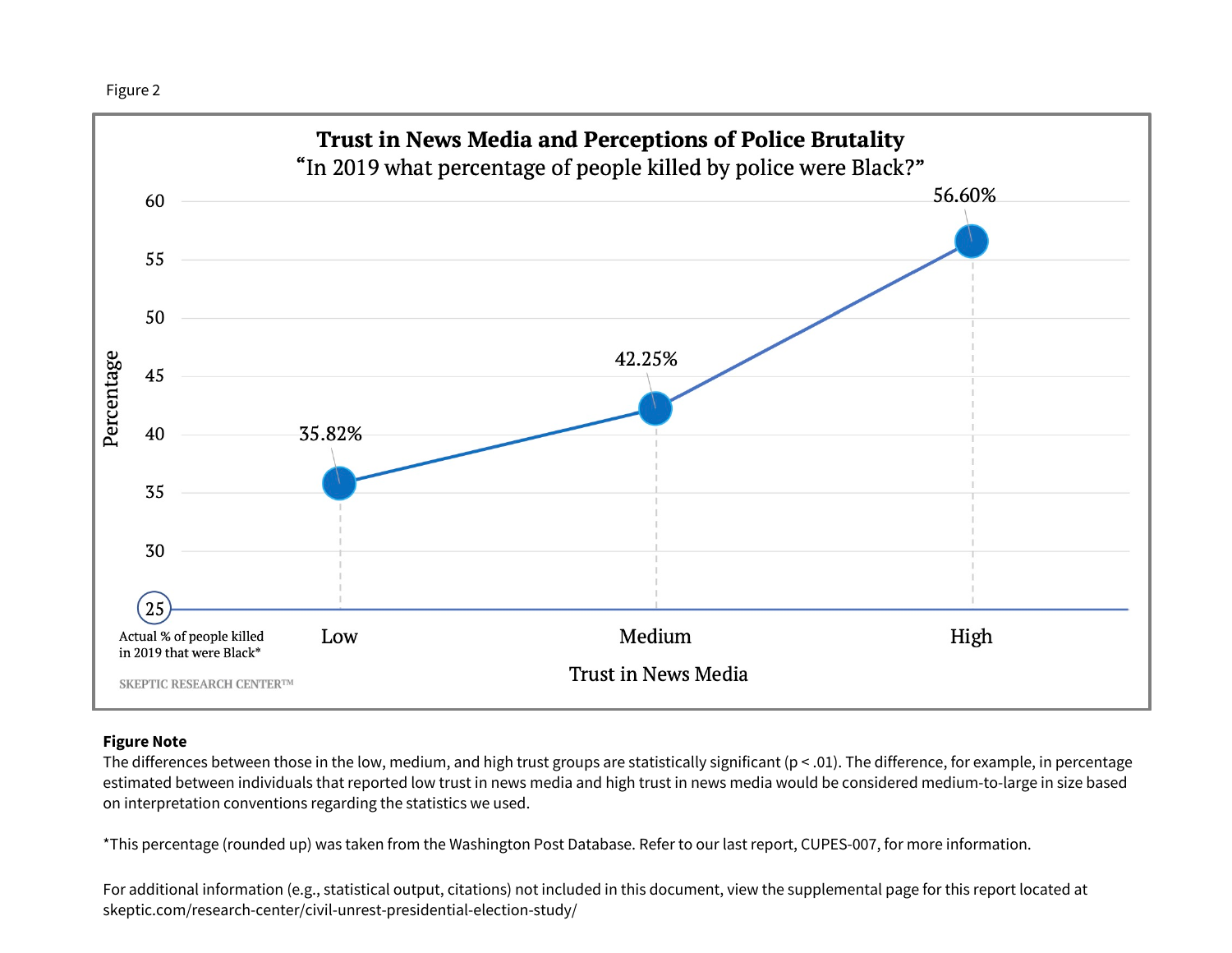

### **Figure Note**

The differences between those in the low, medium, and high trust groups are statistically significant (p < .01). The difference, for example, in percentage estimated between individuals that reported low trust in news media and high trust in news media would be considered medium-to-large in size based on interpretation conventions regarding the statistics we used.

\*This percentage (rounded up) was taken from the Washington Post Database. Refer to our last report, CUPES-007, for more information.

For additional information (e.g., statistical output, citations) not included in this document, view the supplemental page for this report located at skeptic.com/research-center/civil-unrest-presidential-election-study/